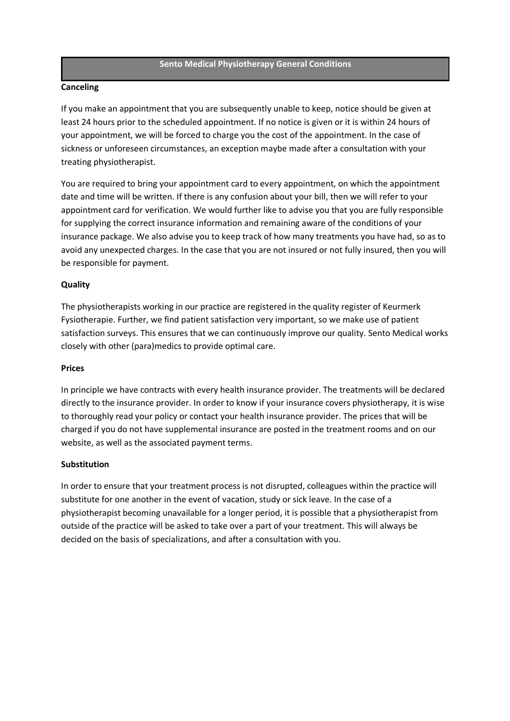#### **Sento Medical Physiotherapy General Conditions**

### **Canceling**

If you make an appointment that you are subsequently unable to keep, notice should be given at least 24 hours prior to the scheduled appointment. If no notice is given or it is within 24 hours of your appointment, we will be forced to charge you the cost of the appointment. In the case of sickness or unforeseen circumstances, an exception maybe made after a consultation with your treating physiotherapist.

You are required to bring your appointment card to every appointment, on which the appointment date and time will be written. If there is any confusion about your bill, then we will refer to your appointment card for verification. We would further like to advise you that you are fully responsible for supplying the correct insurance information and remaining aware of the conditions of your insurance package. We also advise you to keep track of how many treatments you have had, so as to avoid any unexpected charges. In the case that you are not insured or not fully insured, then you will be responsible for payment.

# **Quality**

The physiotherapists working in our practice are registered in the quality register of Keurmerk Fysiotherapie. Further, we find patient satisfaction very important, so we make use of patient satisfaction surveys. This ensures that we can continuously improve our quality. Sento Medical works closely with other (para)medics to provide optimal care.

### **Prices**

In principle we have contracts with every health insurance provider. The treatments will be declared directly to the insurance provider. In order to know if your insurance covers physiotherapy, it is wise to thoroughly read your policy or contact your health insurance provider. The prices that will be charged if you do not have supplemental insurance are posted in the treatment rooms and on our website, as well as the associated payment terms.

### **Substitution**

In order to ensure that your treatment process is not disrupted, colleagues within the practice will substitute for one another in the event of vacation, study or sick leave. In the case of a physiotherapist becoming unavailable for a longer period, it is possible that a physiotherapist from outside of the practice will be asked to take over a part of your treatment. This will always be decided on the basis of specializations, and after a consultation with you.